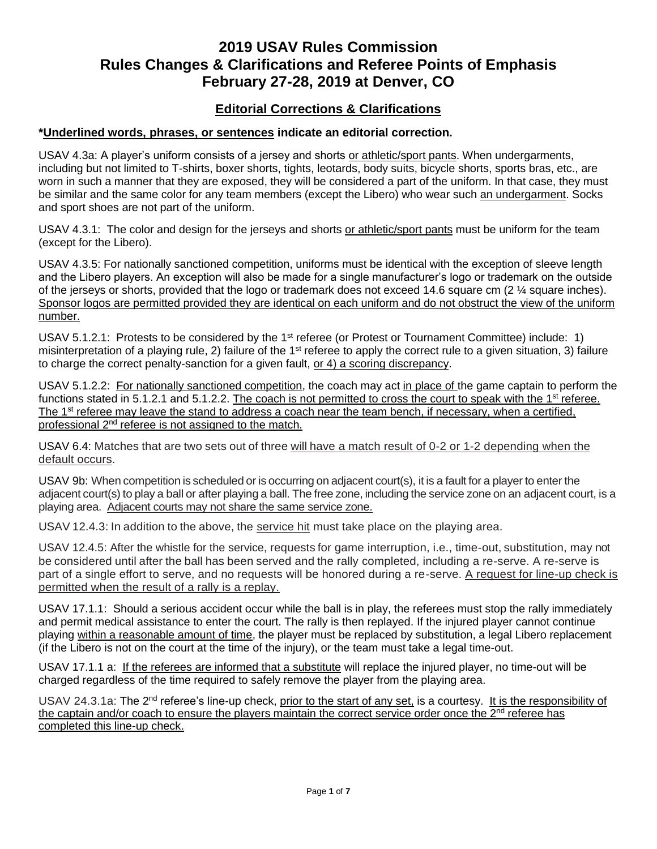# **2019 USAV Rules Commission Rules Changes & Clarifications and Referee Points of Emphasis February 27-28, 2019 at Denver, CO**

## **Editorial Corrections & Clarifications**

### **\*Underlined words, phrases, or sentences indicate an editorial correction.**

USAV 4.3a: A player's uniform consists of a jersey and shorts or athletic/sport pants. When undergarments, including but not limited to T-shirts, boxer shorts, tights, leotards, body suits, bicycle shorts, sports bras, etc., are worn in such a manner that they are exposed, they will be considered a part of the uniform. In that case, they must be similar and the same color for any team members (except the Libero) who wear such an undergarment. Socks and sport shoes are not part of the uniform.

USAV 4.3.1: The color and design for the jerseys and shorts or athletic/sport pants must be uniform for the team (except for the Libero).

USAV 4.3.5: For nationally sanctioned competition, uniforms must be identical with the exception of sleeve length and the Libero players. An exception will also be made for a single manufacturer's logo or trademark on the outside of the jerseys or shorts, provided that the logo or trademark does not exceed 14.6 square cm (2 ¼ square inches). Sponsor logos are permitted provided they are identical on each uniform and do not obstruct the view of the uniform number.

USAV 5.1.2.1: Protests to be considered by the 1<sup>st</sup> referee (or Protest or Tournament Committee) include: 1) misinterpretation of a playing rule, 2) failure of the  $1<sup>st</sup>$  referee to apply the correct rule to a given situation, 3) failure to charge the correct penalty-sanction for a given fault, or 4) a scoring discrepancy.

USAV 5.1.2.2: For nationally sanctioned competition, the coach may act in place of the game captain to perform the functions stated in 5.1.2.1 and 5.1.2.2. The coach is not permitted to cross the court to speak with the 1<sup>st</sup> referee. The 1<sup>st</sup> referee may leave the stand to address a coach near the team bench, if necessary, when a certified, professional 2<sup>nd</sup> referee is not assigned to the match.

USAV 6.4: Matches that are two sets out of three will have a match result of 0-2 or 1-2 depending when the default occurs.

USAV 9b: When competition is scheduled or is occurring on adjacent court(s), it is a fault for a player to enter the adjacent court(s) to play a ball or after playing a ball. The free zone, including the service zone on an adjacent court, is a playing area. Adjacent courts may not share the same service zone.

USAV 12.4.3: In addition to the above, the service hit must take place on the playing area.

USAV 12.4.5: After the whistle for the service, requests for game interruption, i.e., time-out, substitution, may not be considered until after the ball has been served and the rally completed, including a re-serve. A re-serve is part of a single effort to serve, and no requests will be honored during a re-serve. A request for line-up check is permitted when the result of a rally is a replay.

USAV 17.1.1: Should a serious accident occur while the ball is in play, the referees must stop the rally immediately and permit medical assistance to enter the court. The rally is then replayed. If the injured player cannot continue playing within a reasonable amount of time, the player must be replaced by substitution, a legal Libero replacement (if the Libero is not on the court at the time of the injury), or the team must take a legal time-out.

USAV 17.1.1 a: If the referees are informed that a substitute will replace the injured player, no time-out will be charged regardless of the time required to safely remove the player from the playing area.

USAV 24.3.1a: The 2<sup>nd</sup> referee's line-up check, prior to the start of any set, is a courtesy. It is the responsibility of the captain and/or coach to ensure the players maintain the correct service order once the  $2<sup>nd</sup>$  referee has completed this line-up check.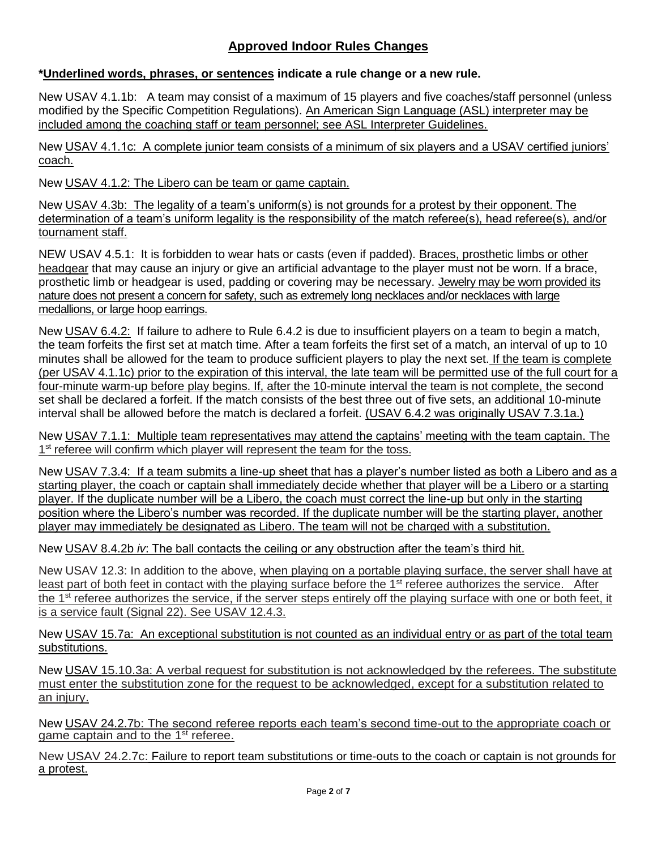# **Approved Indoor Rules Changes**

## **\*Underlined words, phrases, or sentences indicate a rule change or a new rule.**

New USAV 4.1.1b: A team may consist of a maximum of 15 players and five coaches/staff personnel (unless modified by the Specific Competition Regulations). An American Sign Language (ASL) interpreter may be included among the coaching staff or team personnel; see ASL Interpreter Guidelines.

New USAV 4.1.1c: A complete junior team consists of a minimum of six players and a USAV certified juniors' coach.

New USAV 4.1.2: The Libero can be team or game captain.

New USAV 4.3b: The legality of a team's uniform(s) is not grounds for a protest by their opponent. The determination of a team's uniform legality is the responsibility of the match referee(s), head referee(s), and/or tournament staff.

NEW USAV 4.5.1: It is forbidden to wear hats or casts (even if padded). Braces, prosthetic limbs or other headgear that may cause an injury or give an artificial advantage to the player must not be worn. If a brace, prosthetic limb or headgear is used, padding or covering may be necessary. Jewelry may be worn provided its nature does not present a concern for safety, such as extremely long necklaces and/or necklaces with large medallions, or large hoop earrings.

New USAV 6.4.2: If failure to adhere to Rule 6.4.2 is due to insufficient players on a team to begin a match, the team forfeits the first set at match time. After a team forfeits the first set of a match, an interval of up to 10 minutes shall be allowed for the team to produce sufficient players to play the next set. If the team is complete (per USAV 4.1.1c) prior to the expiration of this interval, the late team will be permitted use of the full court for a four-minute warm-up before play begins. If, after the 10-minute interval the team is not complete, the second set shall be declared a forfeit. If the match consists of the best three out of five sets, an additional 10-minute interval shall be allowed before the match is declared a forfeit. (USAV 6.4.2 was originally USAV 7.3.1a.)

New USAV 7.1.1: Multiple team representatives may attend the captains' meeting with the team captain. The 1<sup>st</sup> referee will confirm which player will represent the team for the toss.

New USAV 7.3.4: If a team submits a line-up sheet that has a player's number listed as both a Libero and as a starting player, the coach or captain shall immediately decide whether that player will be a Libero or a starting player. If the duplicate number will be a Libero, the coach must correct the line-up but only in the starting position where the Libero's number was recorded. If the duplicate number will be the starting player, another player may immediately be designated as Libero. The team will not be charged with a substitution.

New USAV 8.4.2b *iv*: The ball contacts the ceiling or any obstruction after the team's third hit.

New USAV 12.3: In addition to the above, when playing on a portable playing surface, the server shall have at least part of both feet in contact with the playing surface before the 1<sup>st</sup> referee authorizes the service. After the  $1<sup>st</sup>$  referee authorizes the service, if the server steps entirely off the playing surface with one or both feet, it is a service fault (Signal 22). See USAV 12.4.3.

New USAV 15.7a: An exceptional substitution is not counted as an individual entry or as part of the total team substitutions.

New USAV 15.10.3a: A verbal request for substitution is not acknowledged by the referees. The substitute must enter the substitution zone for the request to be acknowledged, except for a substitution related to an injury.

New USAV 24.2.7b: The second referee reports each team's second time-out to the appropriate coach or game captain and to the 1<sup>st</sup> referee.

New USAV 24.2.7c: Failure to report team substitutions or time-outs to the coach or captain is not grounds for a protest.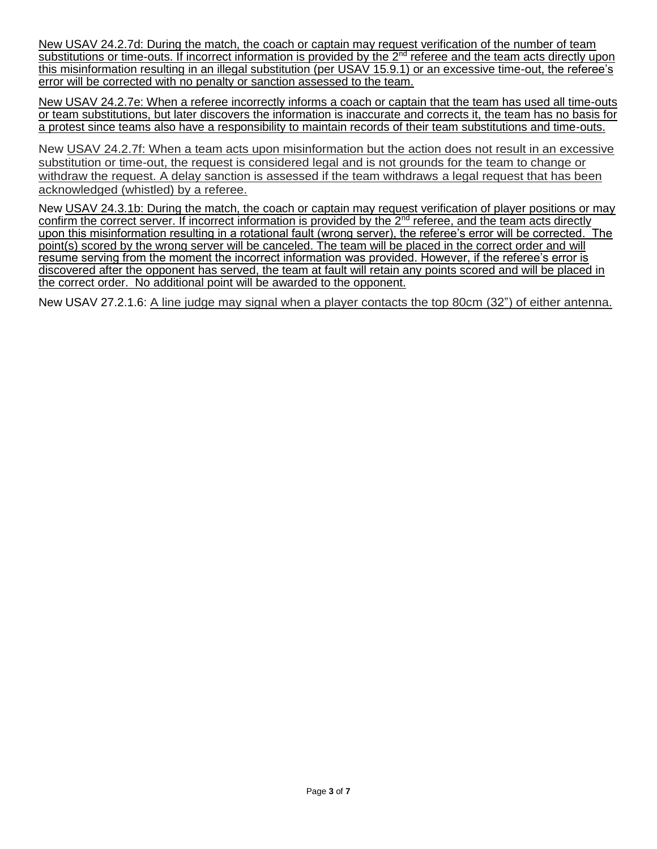New USAV 24.2.7d: During the match, the coach or captain may request verification of the number of team substitutions or time-outs. If incorrect information is provided by the 2<sup>nd</sup> referee and the team acts directly upon this misinformation resulting in an illegal substitution (per USAV 15.9.1) or an excessive time-out, the referee's error will be corrected with no penalty or sanction assessed to the team.

New USAV 24.2.7e: When a referee incorrectly informs a coach or captain that the team has used all time-outs or team substitutions, but later discovers the information is inaccurate and corrects it, the team has no basis for a protest since teams also have a responsibility to maintain records of their team substitutions and time-outs.

New USAV 24.2.7f: When a team acts upon misinformation but the action does not result in an excessive substitution or time-out, the request is considered legal and is not grounds for the team to change or withdraw the request. A delay sanction is assessed if the team withdraws a legal request that has been acknowledged (whistled) by a referee.

New USAV 24.3.1b: During the match, the coach or captain may request verification of player positions or may confirm the correct server. If incorrect information is provided by the 2<sup>nd</sup> referee, and the team acts directly upon this misinformation resulting in a rotational fault (wrong server), the referee's error will be corrected. The point(s) scored by the wrong server will be canceled. The team will be placed in the correct order and will resume serving from the moment the incorrect information was provided. However, if the referee's error is discovered after the opponent has served, the team at fault will retain any points scored and will be placed in the correct order. No additional point will be awarded to the opponent.

New USAV 27.2.1.6: A line judge may signal when a player contacts the top 80cm (32") of either antenna.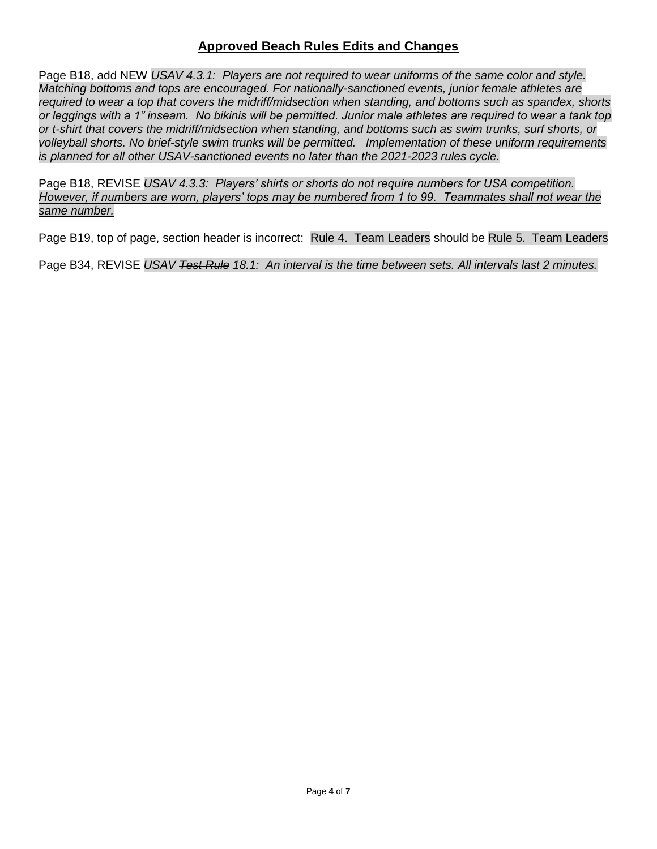## **Approved Beach Rules Edits and Changes**

Page B18, add NEW *USAV 4.3.1: Players are not required to wear uniforms of the same color and style. Matching bottoms and tops are encouraged. For nationally-sanctioned events, junior female athletes are required to wear a top that covers the midriff/midsection when standing, and bottoms such as spandex, shorts or leggings with a 1" inseam. No bikinis will be permitted. Junior male athletes are required to wear a tank top or t-shirt that covers the midriff/midsection when standing, and bottoms such as swim trunks, surf shorts, or volleyball shorts. No brief-style swim trunks will be permitted. Implementation of these uniform requirements is planned for all other USAV-sanctioned events no later than the 2021-2023 rules cycle.*

Page B18, REVISE *USAV 4.3.3: Players' shirts or shorts do not require numbers for USA competition. However, if numbers are worn, players' tops may be numbered from 1 to 99. Teammates shall not wear the same number.*

Page B19, top of page, section header is incorrect: Rule 4. Team Leaders should be Rule 5. Team Leaders

Page B34, REVISE *USAV Test Rule 18.1: An interval is the time between sets. All intervals last 2 minutes.*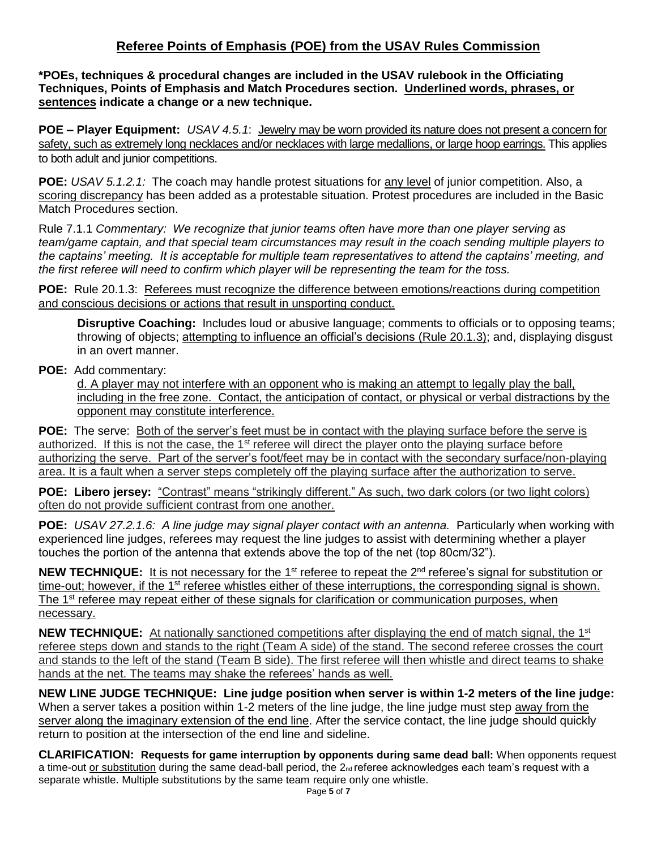# **Referee Points of Emphasis (POE) from the USAV Rules Commission**

**\*POEs, techniques & procedural changes are included in the USAV rulebook in the Officiating Techniques, Points of Emphasis and Match Procedures section. Underlined words, phrases, or sentences indicate a change or a new technique.**

**POE – Player Equipment:** *USAV 4.5.1*: Jewelry may be worn provided its nature does not present a concern for safety, such as extremely long necklaces and/or necklaces with large medallions, or large hoop earrings. This applies to both adult and junior competitions.

**POE:** *USAV 5.1.2.1:* The coach may handle protest situations for any level of junior competition. Also, a scoring discrepancy has been added as a protestable situation. Protest procedures are included in the Basic Match Procedures section.

Rule 7.1.1 *Commentary: We recognize that junior teams often have more than one player serving as team/game captain, and that special team circumstances may result in the coach sending multiple players to the captains' meeting. It is acceptable for multiple team representatives to attend the captains' meeting, and the first referee will need to confirm which player will be representing the team for the toss.*

**POE:** Rule 20.1.3: Referees must recognize the difference between emotions/reactions during competition and conscious decisions or actions that result in unsporting conduct.

**Disruptive Coaching:** Includes loud or abusive language; comments to officials or to opposing teams; throwing of objects; attempting to influence an official's decisions (Rule 20.1.3); and, displaying disgust in an overt manner.

### **POE:** Add commentary:

d. A player may not interfere with an opponent who is making an attempt to legally play the ball, including in the free zone. Contact, the anticipation of contact, or physical or verbal distractions by the opponent may constitute interference.

**POE:** The serve: Both of the server's feet must be in contact with the playing surface before the serve is authorized. If this is not the case, the 1<sup>st</sup> referee will direct the player onto the playing surface before authorizing the serve. Part of the server's foot/feet may be in contact with the secondary surface/non-playing area. It is a fault when a server steps completely off the playing surface after the authorization to serve.

**POE: Libero jersey:** "Contrast" means "strikingly different." As such, two dark colors (or two light colors) often do not provide sufficient contrast from one another.

**POE:** *USAV 27.2.1.6: A line judge may signal player contact with an antenna.* Particularly when working with experienced line judges, referees may request the line judges to assist with determining whether a player touches the portion of the antenna that extends above the top of the net (top 80cm/32").

NEW TECHNIQUE: It is not necessary for the 1<sup>st</sup> referee to repeat the 2<sup>nd</sup> referee's signal for substitution or time-out; however, if the 1<sup>st</sup> referee whistles either of these interruptions, the corresponding signal is shown. The 1<sup>st</sup> referee may repeat either of these signals for clarification or communication purposes, when necessary.

**NEW TECHNIQUE:** At nationally sanctioned competitions after displaying the end of match signal, the 1<sup>st</sup> referee steps down and stands to the right (Team A side) of the stand. The second referee crosses the court and stands to the left of the stand (Team B side). The first referee will then whistle and direct teams to shake hands at the net. The teams may shake the referees' hands as well.

**NEW LINE JUDGE TECHNIQUE: Line judge position when server is within 1-2 meters of the line judge:**  When a server takes a position within 1-2 meters of the line judge, the line judge must step away from the server along the imaginary extension of the end line. After the service contact, the line judge should quickly return to position at the intersection of the end line and sideline.

**CLARIFICATION: Requests for game interruption by opponents during same dead ball:** When opponents request a time-out or substitution during the same dead-ball period, the  $2<sub>nd</sub>$  referee acknowledges each team's request with a separate whistle. Multiple substitutions by the same team require only one whistle.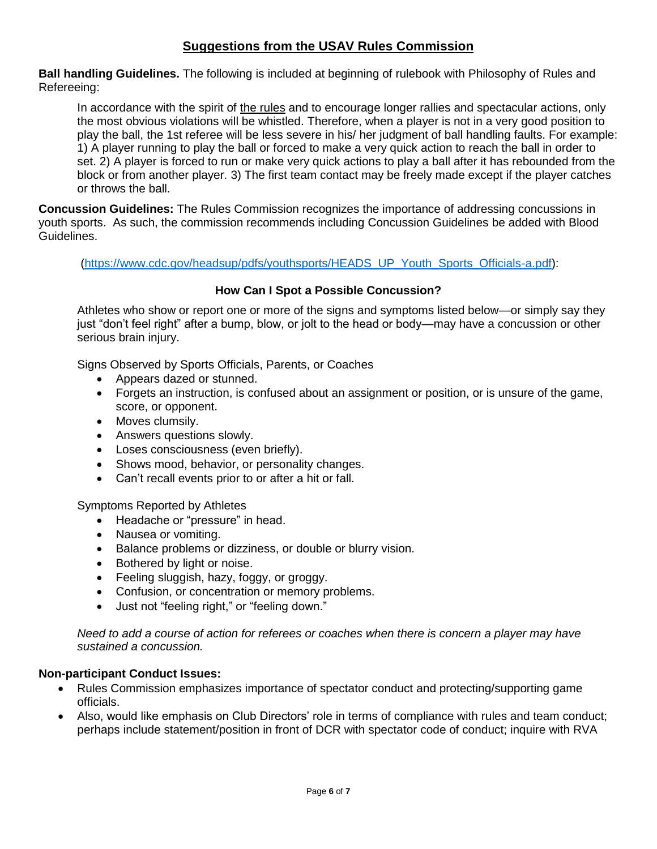# **Suggestions from the USAV Rules Commission**

**Ball handling Guidelines.** The following is included at beginning of rulebook with Philosophy of Rules and Refereeing:

In accordance with the spirit of the rules and to encourage longer rallies and spectacular actions, only the most obvious violations will be whistled. Therefore, when a player is not in a very good position to play the ball, the 1st referee will be less severe in his/ her judgment of ball handling faults. For example: 1) A player running to play the ball or forced to make a very quick action to reach the ball in order to set. 2) A player is forced to run or make very quick actions to play a ball after it has rebounded from the block or from another player. 3) The first team contact may be freely made except if the player catches or throws the ball.

**Concussion Guidelines:** The Rules Commission recognizes the importance of addressing concussions in youth sports. As such, the commission recommends including Concussion Guidelines be added with Blood Guidelines.

[\(https://www.cdc.gov/headsup/pdfs/youthsports/HEADS\\_UP\\_Youth\\_Sports\\_Officials-a.pdf\)](https://www.cdc.gov/headsup/pdfs/youthsports/HEADS_UP_Youth_Sports_Officials-a.pdf):

### **How Can I Spot a Possible Concussion?**

Athletes who show or report one or more of the signs and symptoms listed below—or simply say they just "don't feel right" after a bump, blow, or jolt to the head or body—may have a concussion or other serious brain injury.

Signs Observed by Sports Officials, Parents, or Coaches

- Appears dazed or stunned.
- Forgets an instruction, is confused about an assignment or position, or is unsure of the game, score, or opponent.
- Moves clumsily.
- Answers questions slowly.
- Loses consciousness (even briefly).
- Shows mood, behavior, or personality changes.
- Can't recall events prior to or after a hit or fall.

Symptoms Reported by Athletes

- Headache or "pressure" in head.
- Nausea or vomiting.
- Balance problems or dizziness, or double or blurry vision.
- Bothered by light or noise.
- Feeling sluggish, hazy, foggy, or groggy.
- Confusion, or concentration or memory problems.
- Just not "feeling right," or "feeling down."

*Need to add a course of action for referees or coaches when there is concern a player may have sustained a concussion.*

### **Non-participant Conduct Issues:**

- Rules Commission emphasizes importance of spectator conduct and protecting/supporting game officials.
- Also, would like emphasis on Club Directors' role in terms of compliance with rules and team conduct; perhaps include statement/position in front of DCR with spectator code of conduct; inquire with RVA